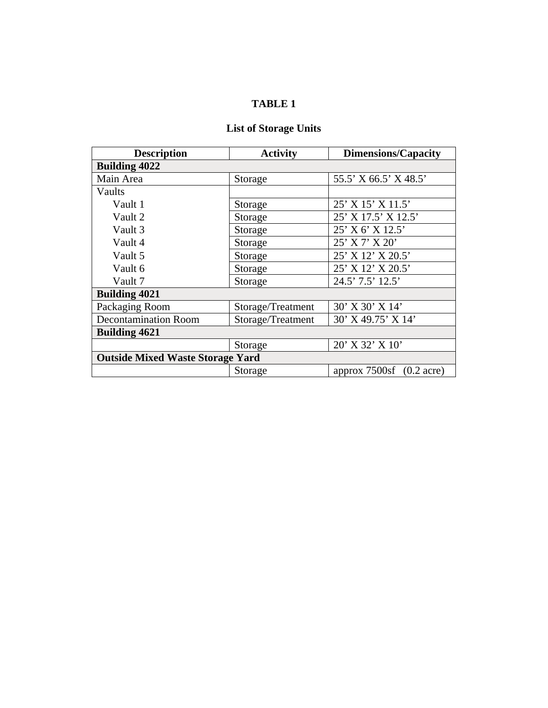# **TABLE 1**

# **List of Storage Units**

| <b>Description</b>                      | <b>Activity</b>   | <b>Dimensions/Capacity</b> |  |  |  |  |
|-----------------------------------------|-------------------|----------------------------|--|--|--|--|
| <b>Building 4022</b>                    |                   |                            |  |  |  |  |
| Main Area                               | Storage           | 55.5' X 66.5' X 48.5'      |  |  |  |  |
| Vaults                                  |                   |                            |  |  |  |  |
| Vault 1                                 | Storage           | 25' X 15' X 11.5'          |  |  |  |  |
| Vault 2                                 | Storage           | 25' X 17.5' X 12.5'        |  |  |  |  |
| Vault 3                                 | Storage           | 25' X 6' X 12.5'           |  |  |  |  |
| Vault 4                                 | Storage           | 25' X 7' X 20'             |  |  |  |  |
| Vault 5                                 | Storage           | 25' X 12' X 20.5'          |  |  |  |  |
| Vault 6                                 | Storage           | 25' X 12' X 20.5'          |  |  |  |  |
| Vault 7                                 | Storage           | 24.5' 7.5' 12.5'           |  |  |  |  |
| <b>Building 4021</b>                    |                   |                            |  |  |  |  |
| Packaging Room                          | Storage/Treatment | 30' X 30' X 14'            |  |  |  |  |
| <b>Decontamination Room</b>             | Storage/Treatment | 30' X 49.75' X 14'         |  |  |  |  |
| <b>Building 4621</b>                    |                   |                            |  |  |  |  |
|                                         | Storage           | 20' X 32' X 10'            |  |  |  |  |
| <b>Outside Mixed Waste Storage Yard</b> |                   |                            |  |  |  |  |
|                                         | Storage           | approx $7500sf$ (0.2 acre) |  |  |  |  |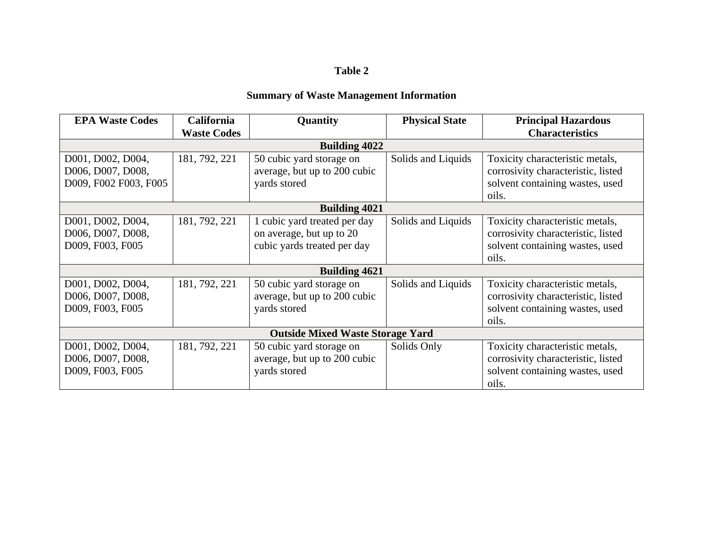#### **Table 2**

# **Summary of Waste Management Information**

| <b>EPA Waste Codes</b> | <b>California</b>  | Quantity                                | <b>Physical State</b> | <b>Principal Hazardous</b>         |
|------------------------|--------------------|-----------------------------------------|-----------------------|------------------------------------|
|                        | <b>Waste Codes</b> |                                         |                       | <b>Characteristics</b>             |
|                        |                    | <b>Building 4022</b>                    |                       |                                    |
| D001, D002, D004,      | 181, 792, 221      | 50 cubic yard storage on                | Solids and Liquids    | Toxicity characteristic metals,    |
| D006, D007, D008,      |                    | average, but up to 200 cubic            |                       | corrosivity characteristic, listed |
| D009, F002 F003, F005  |                    | yards stored                            |                       | solvent containing wastes, used    |
|                        |                    |                                         |                       | oils.                              |
|                        |                    | <b>Building 4021</b>                    |                       |                                    |
| D001, D002, D004,      | 181, 792, 221      | 1 cubic yard treated per day            | Solids and Liquids    | Toxicity characteristic metals,    |
| D006, D007, D008,      |                    | on average, but up to 20                |                       | corrosivity characteristic, listed |
| D009, F003, F005       |                    | cubic yards treated per day             |                       | solvent containing wastes, used    |
|                        |                    |                                         |                       | oils.                              |
|                        |                    | <b>Building 4621</b>                    |                       |                                    |
| D001, D002, D004,      | 181, 792, 221      | 50 cubic yard storage on                | Solids and Liquids    | Toxicity characteristic metals,    |
| D006, D007, D008,      |                    | average, but up to 200 cubic            |                       | corrosivity characteristic, listed |
| D009, F003, F005       |                    | yards stored                            |                       | solvent containing wastes, used    |
|                        |                    |                                         |                       | oils.                              |
|                        |                    | <b>Outside Mixed Waste Storage Yard</b> |                       |                                    |
| D001, D002, D004,      | 181, 792, 221      | 50 cubic yard storage on                | Solids Only           | Toxicity characteristic metals,    |
| D006, D007, D008,      |                    | average, but up to 200 cubic            |                       | corrosivity characteristic, listed |
| D009, F003, F005       |                    | yards stored                            |                       | solvent containing wastes, used    |
|                        |                    |                                         |                       | oils.                              |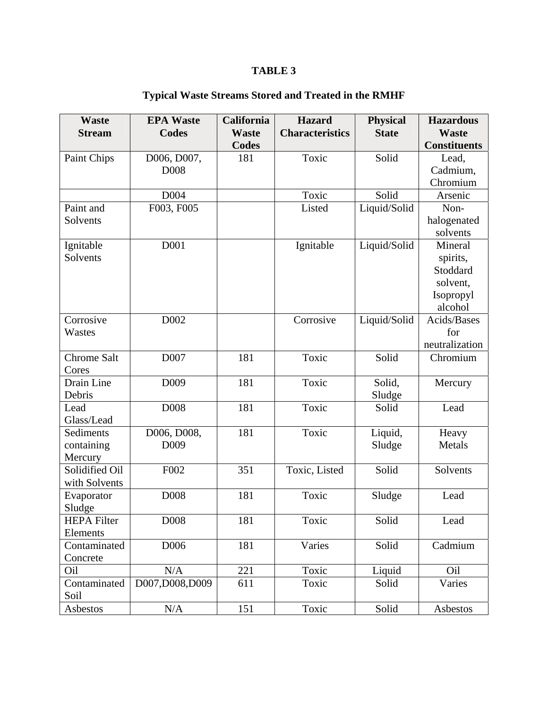# **TABLE 3**

| <b>Waste</b>       | <b>EPA Waste</b> | California   | <b>Hazard</b>          | <b>Physical</b> | <b>Hazardous</b>    |  |  |  |  |  |
|--------------------|------------------|--------------|------------------------|-----------------|---------------------|--|--|--|--|--|
| <b>Stream</b>      | <b>Codes</b>     | <b>Waste</b> | <b>Characteristics</b> | <b>State</b>    | <b>Waste</b>        |  |  |  |  |  |
|                    |                  | <b>Codes</b> |                        |                 | <b>Constituents</b> |  |  |  |  |  |
| Paint Chips        | D006, D007,      | 181          | Toxic                  | Solid           | Lead,               |  |  |  |  |  |
|                    | D <sub>008</sub> |              |                        |                 | Cadmium,            |  |  |  |  |  |
|                    |                  |              |                        |                 | Chromium            |  |  |  |  |  |
|                    | D004             |              | Toxic                  | Solid           | Arsenic             |  |  |  |  |  |
| Paint and          | F003, F005       |              | Listed                 | Liquid/Solid    | Non-                |  |  |  |  |  |
| Solvents           |                  |              |                        |                 | halogenated         |  |  |  |  |  |
|                    |                  |              |                        |                 | solvents            |  |  |  |  |  |
| Ignitable          | D <sub>001</sub> |              | Ignitable              | Liquid/Solid    | Mineral             |  |  |  |  |  |
| Solvents           |                  |              |                        |                 | spirits,            |  |  |  |  |  |
|                    |                  |              |                        |                 | Stoddard            |  |  |  |  |  |
|                    |                  |              |                        |                 | solvent,            |  |  |  |  |  |
|                    |                  |              |                        |                 | Isopropyl           |  |  |  |  |  |
|                    |                  |              |                        |                 | alcohol             |  |  |  |  |  |
| Corrosive          | D002             |              | Corrosive              | Liquid/Solid    | Acids/Bases         |  |  |  |  |  |
| Wastes             |                  |              |                        |                 | for                 |  |  |  |  |  |
|                    |                  |              |                        |                 | neutralization      |  |  |  |  |  |
| <b>Chrome Salt</b> | D007             | 181          | Toxic                  | Solid           | Chromium            |  |  |  |  |  |
| Cores              |                  |              |                        |                 |                     |  |  |  |  |  |
| <b>Drain Line</b>  | D <sub>009</sub> | 181          | Toxic                  | Solid,          | Mercury             |  |  |  |  |  |
| Debris             |                  |              |                        | Sludge          |                     |  |  |  |  |  |
| Lead               | D008             | 181          | Toxic                  | Solid           | Lead                |  |  |  |  |  |
| Glass/Lead         |                  |              |                        |                 |                     |  |  |  |  |  |
| Sediments          | D006, D008,      | 181          | Toxic                  | Liquid,         | Heavy               |  |  |  |  |  |
| containing         | D009             |              |                        | Sludge          | Metals              |  |  |  |  |  |
| Mercury            |                  |              |                        |                 |                     |  |  |  |  |  |
| Solidified Oil     | F002             | 351          | Toxic, Listed          | Solid           | Solvents            |  |  |  |  |  |
| with Solvents      |                  |              |                        |                 |                     |  |  |  |  |  |
| Evaporator         | D008             | 181          | Toxic                  | Sludge          | Lead                |  |  |  |  |  |
| Sludge             |                  |              |                        |                 |                     |  |  |  |  |  |
| <b>HEPA Filter</b> | D <sub>008</sub> | 181          | Toxic                  | Solid           | Lead                |  |  |  |  |  |
| Elements           |                  |              |                        |                 |                     |  |  |  |  |  |
| Contaminated       | D006             | 181          | Varies                 | Solid           | Cadmium             |  |  |  |  |  |
| Concrete           |                  |              |                        |                 |                     |  |  |  |  |  |
| Oil                | N/A              | 221          | Toxic                  | Liquid          | Oil                 |  |  |  |  |  |
| Contaminated       | D007,D008,D009   | 611          | Toxic                  | Solid           | Varies              |  |  |  |  |  |
| Soil               |                  |              |                        |                 |                     |  |  |  |  |  |
| Asbestos           | $\rm N/A$        | 151          | Toxic                  | Solid           | Asbestos            |  |  |  |  |  |

# **Typical Waste Streams Stored and Treated in the RMHF**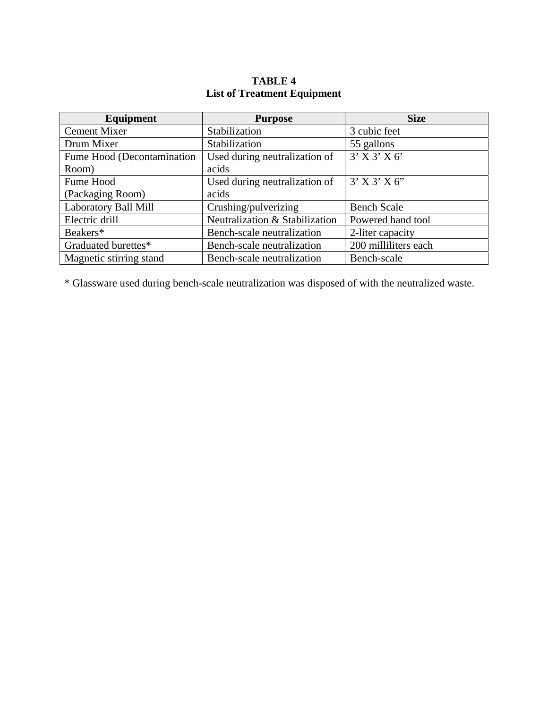# **TABLE 4 List of Treatment Equipment**

| Equipment                                                   | <b>Purpose</b>                 | <b>Size</b>          |
|-------------------------------------------------------------|--------------------------------|----------------------|
| <b>Cement Mixer</b>                                         | Stabilization                  | 3 cubic feet         |
| Drum Mixer                                                  | Stabilization                  | 55 gallons           |
| Fume Hood (Decontamination<br>Used during neutralization of |                                | $3'$ X $3'$ X $6'$   |
| Room)                                                       | acids                          |                      |
| Fume Hood                                                   | Used during neutralization of  | $3'$ X $3'$ X $6''$  |
| (Packaging Room)                                            | acids                          |                      |
| Laboratory Ball Mill                                        | Crushing/pulverizing           | <b>Bench Scale</b>   |
| Electric drill                                              | Neutralization & Stabilization | Powered hand tool    |
| Beakers*                                                    | Bench-scale neutralization     | 2-liter capacity     |
| Graduated burettes*                                         | Bench-scale neutralization     | 200 milliliters each |
| Magnetic stirring stand                                     | Bench-scale neutralization     | Bench-scale          |

\* Glassware used during bench-scale neutralization was disposed of with the neutralized waste.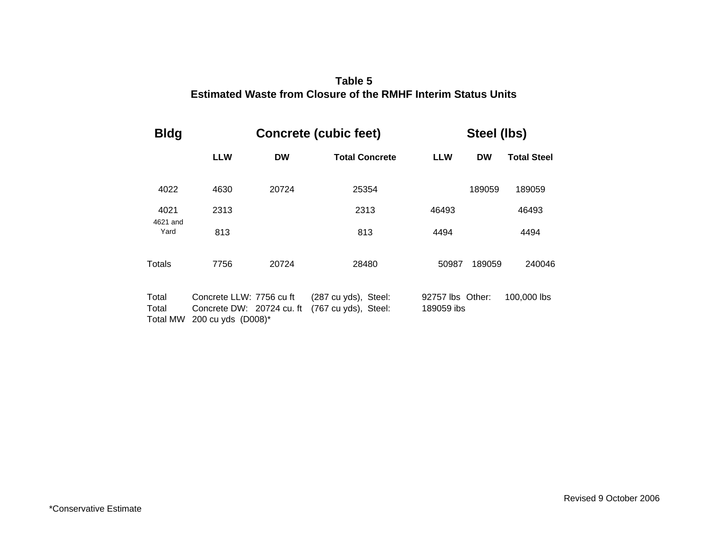### **Estimated W e aste from Closur of the RMHF Interim St atus UnitsTable 5**

| <b>Bldg</b>                |                                                                             |           | <b>Concrete (cubic feet)</b>                 |                                | Steel (lbs) |                    |  |  |  |  |
|----------------------------|-----------------------------------------------------------------------------|-----------|----------------------------------------------|--------------------------------|-------------|--------------------|--|--|--|--|
|                            | <b>LLW</b>                                                                  | <b>DW</b> | <b>Total Concrete</b>                        | <b>LLW</b>                     | <b>DW</b>   | <b>Total Steel</b> |  |  |  |  |
| 4022                       | 4630                                                                        | 20724     | 25354                                        |                                | 189059      | 189059             |  |  |  |  |
| 4021                       | 2313                                                                        |           | 2313                                         | 46493                          |             | 46493              |  |  |  |  |
| Yard                       | 4621 and<br>813                                                             |           | 813                                          | 4494                           |             | 4494               |  |  |  |  |
| Totals                     | 7756                                                                        | 20724     | 28480                                        | 50987                          | 189059      | 240046             |  |  |  |  |
| Total<br>Total<br>Total MW | Concrete LLW: 7756 cu ft<br>Concrete DW: 20724 cu. ft<br>200 cu yds (D008)* |           | (287 cu yds), Steel:<br>(767 cu yds), Steel: | 92757 lbs Other:<br>189059 ibs |             | 100,000 lbs        |  |  |  |  |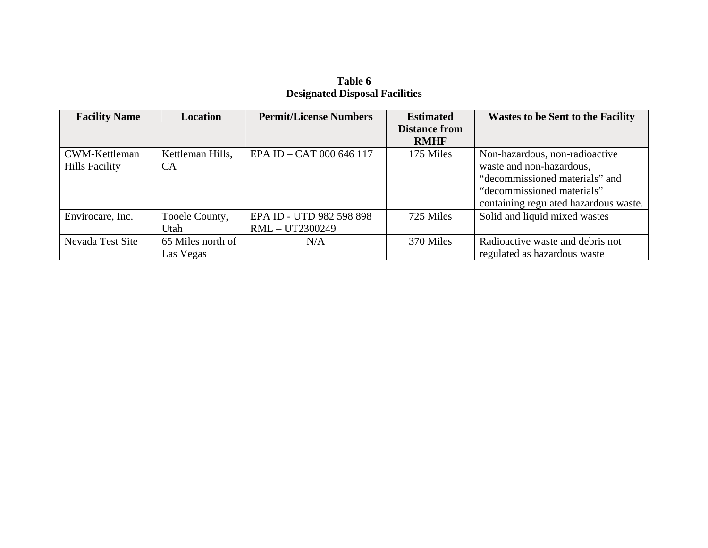### **Table 6 Designated Disposal Facilities**

| <b>Facility Name</b>  | Location          | <b>Permit/License Numbers</b> | <b>Estimated</b>     | <b>Wastes to be Sent to the Facility</b> |
|-----------------------|-------------------|-------------------------------|----------------------|------------------------------------------|
|                       |                   |                               | <b>Distance from</b> |                                          |
|                       |                   |                               | <b>RMHF</b>          |                                          |
| CWM-Kettleman         | Kettleman Hills,  | EPA ID - CAT 000 646 117      | 175 Miles            | Non-hazardous, non-radioactive           |
| <b>Hills Facility</b> | <b>CA</b>         |                               |                      | waste and non-hazardous,                 |
|                       |                   |                               |                      | "decommissioned materials" and           |
|                       |                   |                               |                      | "decommissioned materials"               |
|                       |                   |                               |                      | containing regulated hazardous waste.    |
| Envirocare, Inc.      | Tooele County,    | EPA ID - UTD 982 598 898      | 725 Miles            | Solid and liquid mixed wastes            |
|                       | Utah              | RML-UT2300249                 |                      |                                          |
| Nevada Test Site      | 65 Miles north of | N/A                           | 370 Miles            | Radioactive waste and debris not         |
|                       | Las Vegas         |                               |                      | regulated as hazardous waste             |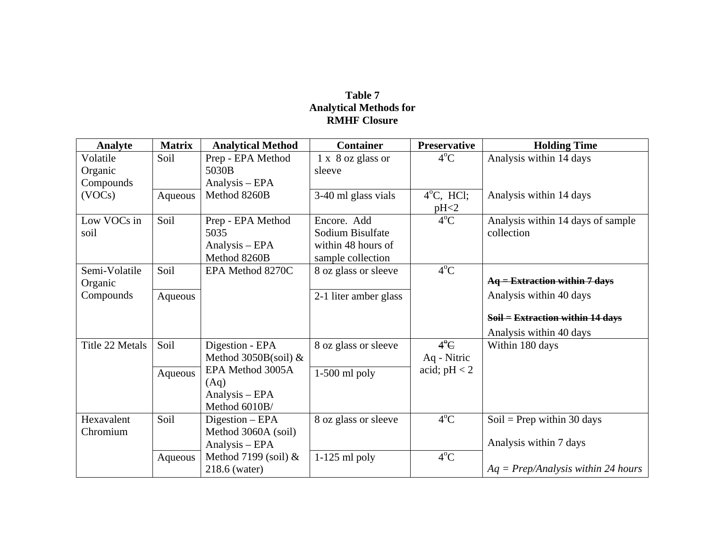#### **Table 7 Analytical Methods for RMHF Closure**

| Analyte         | <b>Matrix</b> | <b>Analytical Method</b> | <b>Container</b>      | <b>Preservative</b> | <b>Holding Time</b>                  |
|-----------------|---------------|--------------------------|-----------------------|---------------------|--------------------------------------|
| Volatile        | Soil          | Prep - EPA Method        | 1 x 8 oz glass or     | $4^{\circ}C$        | Analysis within 14 days              |
| Organic         |               | 5030B                    | sleeve                |                     |                                      |
| Compounds       |               | Analysis – EPA           |                       |                     |                                      |
| (VOCs)          | Aqueous       | Method 8260B             | 3-40 ml glass vials   | $4^{\circ}C$ , HCl; | Analysis within 14 days              |
|                 |               |                          |                       | pH <sub>2</sub>     |                                      |
| Low VOCs in     | Soil          | Prep - EPA Method        | Encore. Add           | $4^{\circ}$ C       | Analysis within 14 days of sample    |
| soil            |               | 5035                     | Sodium Bisulfate      |                     | collection                           |
|                 |               | Analysis – EPA           | within 48 hours of    |                     |                                      |
|                 |               | Method 8260B             | sample collection     |                     |                                      |
| Semi-Volatile   | Soil          | EPA Method 8270C         | 8 oz glass or sleeve  | $4^{\circ}C$        |                                      |
| Organic         |               |                          |                       |                     | $Aq =$ Extraction within 7 days      |
| Compounds       | Aqueous       |                          | 2-1 liter amber glass |                     | Analysis within 40 days              |
|                 |               |                          |                       |                     |                                      |
|                 |               |                          |                       |                     | $Soil = Extraction$ within 14 days   |
|                 |               |                          |                       |                     | Analysis within 40 days              |
| Title 22 Metals | Soil          | Digestion - EPA          | 8 oz glass or sleeve  | $4^{\circ}$ C       | Within 180 days                      |
|                 |               | Method 3050B(soil) $&$   |                       | Aq - Nitric         |                                      |
|                 | Aqueous       | EPA Method 3005A         | $1-500$ ml poly       | acid; $pH < 2$      |                                      |
|                 |               | (Aq)                     |                       |                     |                                      |
|                 |               | Analysis – EPA           |                       |                     |                                      |
|                 |               | Method 6010B/            |                       |                     |                                      |
| Hexavalent      | Soil          | Digestion - EPA          | 8 oz glass or sleeve  | $4^{\circ}C$        | Soil = Prep within 30 days           |
| Chromium        |               | Method 3060A (soil)      |                       |                     |                                      |
|                 |               | Analysis - EPA           |                       |                     | Analysis within 7 days               |
|                 | Aqueous       | Method 7199 (soil) $&$   | $1-125$ ml poly       | $4^{\circ}C$        |                                      |
|                 |               | 218.6 (water)            |                       |                     | $Aq = Prep/Analysis$ within 24 hours |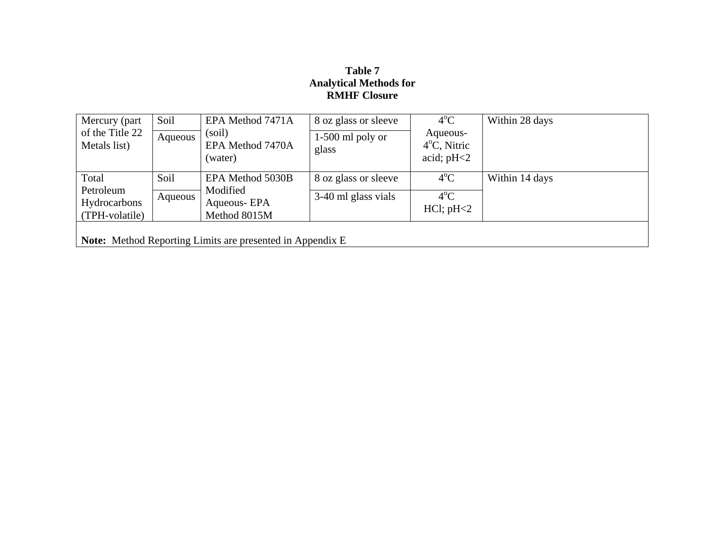### **Table 7 Analytical Methods for RMHF Closure**

| Mercury (part)  | Soil    | EPA Method 7471A                                          | 8 oz glass or sleeve | $4^{\circ}$ C         | Within 28 days |
|-----------------|---------|-----------------------------------------------------------|----------------------|-----------------------|----------------|
| of the Title 22 | Aqueous | (soil)                                                    | $1-500$ ml poly or   | Aqueous-              |                |
| Metals list)    |         | EPA Method 7470A                                          | glass                | $4^{\circ}$ C, Nitric |                |
|                 |         | (water)                                                   |                      | acid; $pH<2$          |                |
| Total           | Soil    | EPA Method 5030B                                          | 8 oz glass or sleeve | $4^{\circ}$ C         | Within 14 days |
| Petroleum       | Aqueous | Modified                                                  | 3-40 ml glass vials  | $4^{\circ}$ C         |                |
| Hydrocarbons    |         | Aqueous-EPA                                               |                      | $HCl$ ; $pH<2$        |                |
| (TPH-volatile)  |         | Method 8015M                                              |                      |                       |                |
|                 |         |                                                           |                      |                       |                |
|                 |         | Note: Method Reporting Limits are presented in Appendix E |                      |                       |                |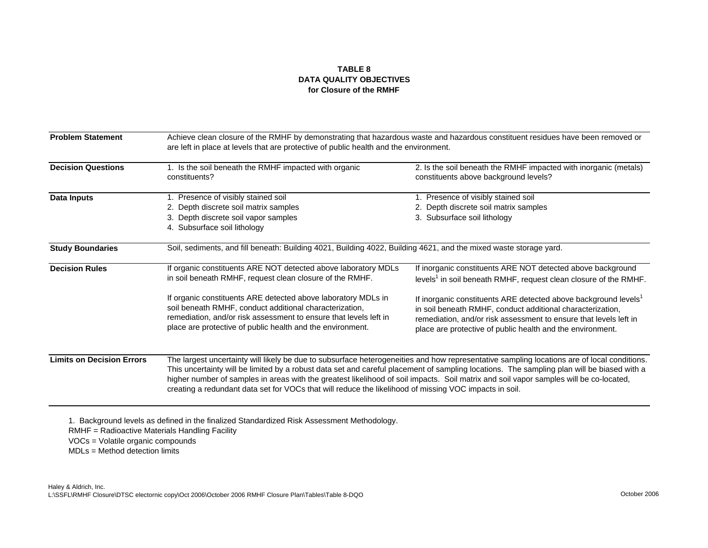#### **TABLE 8DATA QUALITY OBJECTIVES for Closure of the RMHF**

| <b>Problem Statement</b>                                                                                                                                                                                                                                                                                                                                                                                                                                                                                                                                                          | Achieve clean closure of the RMHF by demonstrating that hazardous waste and hazardous constituent residues have been removed or<br>are left in place at levels that are protective of public health and the environment.                                    |                                                                                                                                                                                                                                                                              |  |  |  |  |  |
|-----------------------------------------------------------------------------------------------------------------------------------------------------------------------------------------------------------------------------------------------------------------------------------------------------------------------------------------------------------------------------------------------------------------------------------------------------------------------------------------------------------------------------------------------------------------------------------|-------------------------------------------------------------------------------------------------------------------------------------------------------------------------------------------------------------------------------------------------------------|------------------------------------------------------------------------------------------------------------------------------------------------------------------------------------------------------------------------------------------------------------------------------|--|--|--|--|--|
| <b>Decision Questions</b>                                                                                                                                                                                                                                                                                                                                                                                                                                                                                                                                                         | 1. Is the soil beneath the RMHF impacted with organic<br>constituents?                                                                                                                                                                                      | 2. Is the soil beneath the RMHF impacted with inorganic (metals)<br>constituents above background levels?                                                                                                                                                                    |  |  |  |  |  |
| <b>Data Inputs</b>                                                                                                                                                                                                                                                                                                                                                                                                                                                                                                                                                                | 1. Presence of visibly stained soil<br>2. Depth discrete soil matrix samples<br>3. Depth discrete soil vapor samples<br>4. Subsurface soil lithology                                                                                                        | 1. Presence of visibly stained soil<br>2. Depth discrete soil matrix samples<br>3. Subsurface soil lithology                                                                                                                                                                 |  |  |  |  |  |
| <b>Study Boundaries</b>                                                                                                                                                                                                                                                                                                                                                                                                                                                                                                                                                           | Soil, sediments, and fill beneath: Building 4021, Building 4022, Building 4621, and the mixed waste storage yard.                                                                                                                                           |                                                                                                                                                                                                                                                                              |  |  |  |  |  |
| <b>Decision Rules</b>                                                                                                                                                                                                                                                                                                                                                                                                                                                                                                                                                             | If organic constituents ARE NOT detected above laboratory MDLs<br>in soil beneath RMHF, request clean closure of the RMHF.                                                                                                                                  | If inorganic constituents ARE NOT detected above background<br>levels <sup>1</sup> in soil beneath RMHF, request clean closure of the RMHF.                                                                                                                                  |  |  |  |  |  |
|                                                                                                                                                                                                                                                                                                                                                                                                                                                                                                                                                                                   | If organic constituents ARE detected above laboratory MDLs in<br>soil beneath RMHF, conduct additional characterization,<br>remediation, and/or risk assessment to ensure that levels left in<br>place are protective of public health and the environment. | If inorganic constituents ARE detected above background levels <sup>1</sup><br>in soil beneath RMHF, conduct additional characterization,<br>remediation, and/or risk assessment to ensure that levels left in<br>place are protective of public health and the environment. |  |  |  |  |  |
| The largest uncertainty will likely be due to subsurface heterogeneities and how representative sampling locations are of local conditions.<br><b>Limits on Decision Errors</b><br>This uncertainty will be limited by a robust data set and careful placement of sampling locations. The sampling plan will be biased with a<br>higher number of samples in areas with the greatest likelihood of soil impacts. Soil matrix and soil vapor samples will be co-located,<br>creating a redundant data set for VOCs that will reduce the likelihood of missing VOC impacts in soil. |                                                                                                                                                                                                                                                             |                                                                                                                                                                                                                                                                              |  |  |  |  |  |

VOCs = Volatile organic compounds

MDLs = Method detection limits